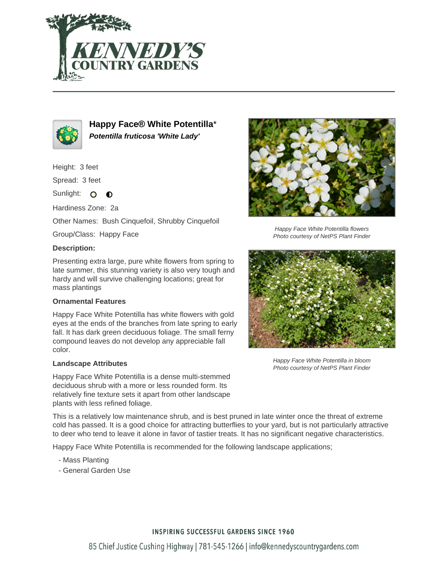



**Happy Face® White Potentilla**\* **Potentilla fruticosa 'White Lady'**

Height: 3 feet

Spread: 3 feet

Sunlight: O  $\bullet$ 

Hardiness Zone: 2a

Other Names: Bush Cinquefoil, Shrubby Cinquefoil

Group/Class: Happy Face

## **Description:**

Presenting extra large, pure white flowers from spring to late summer, this stunning variety is also very tough and hardy and will survive challenging locations; great for mass plantings

## **Ornamental Features**

Happy Face White Potentilla has white flowers with gold eyes at the ends of the branches from late spring to early fall. It has dark green deciduous foliage. The small ferny compound leaves do not develop any appreciable fall color.

## **Landscape Attributes**

Happy Face White Potentilla is a dense multi-stemmed deciduous shrub with a more or less rounded form. Its relatively fine texture sets it apart from other landscape plants with less refined foliage.

This is a relatively low maintenance shrub, and is best pruned in late winter once the threat of extreme cold has passed. It is a good choice for attracting butterflies to your yard, but is not particularly attractive to deer who tend to leave it alone in favor of tastier treats. It has no significant negative characteristics.

Happy Face White Potentilla is recommended for the following landscape applications;

- Mass Planting
- General Garden Use



Happy Face White Potentilla flowers Photo courtesy of NetPS Plant Finder



Happy Face White Potentilla in bloom Photo courtesy of NetPS Plant Finder

**INSPIRING SUCCESSFUL GARDENS SINCE 1960** 

85 Chief Justice Cushing Highway | 781-545-1266 | info@kennedyscountrygardens.com